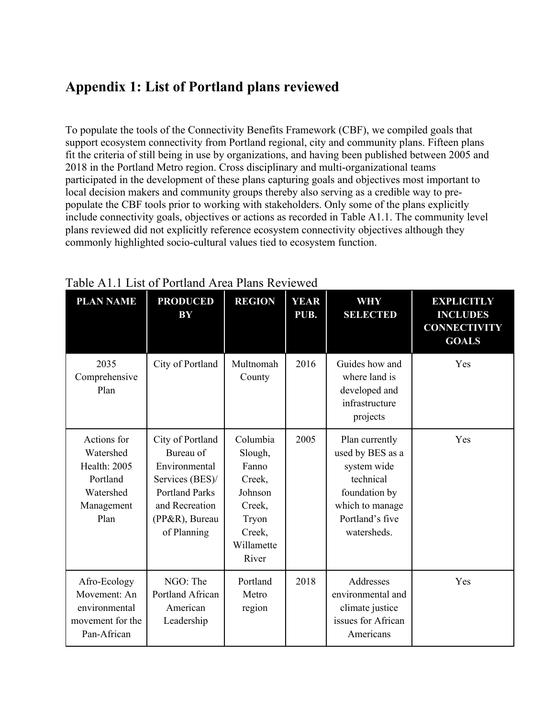## **Appendix 1: List of Portland plans reviewed**

To populate the tools of the Connectivity Benefits Framework (CBF), we compiled goals that support ecosystem connectivity from Portland regional, city and community plans. Fifteen plans fit the criteria of still being in use by organizations, and having been published between 2005 and 2018 in the Portland Metro region. Cross disciplinary and multi-organizational teams participated in the development of these plans capturing goals and objectives most important to local decision makers and community groups thereby also serving as a credible way to prepopulate the CBF tools prior to working with stakeholders. Only some of the plans explicitly include connectivity goals, objectives or actions as recorded in Table A1.1. The community level plans reviewed did not explicitly reference ecosystem connectivity objectives although they commonly highlighted socio-cultural values tied to ecosystem function.

| <b>PLAN NAME</b>                                                                               | <b>PRODUCED</b><br>BY                                                                                                                         | <b>REGION</b>                                                                                         | <b>YEAR</b><br>PUB. | <b>WHY</b><br><b>SELECTED</b>                                                                                                        | <b>EXPLICITLY</b><br><b>INCLUDES</b><br><b>CONNECTIVITY</b><br><b>GOALS</b> |
|------------------------------------------------------------------------------------------------|-----------------------------------------------------------------------------------------------------------------------------------------------|-------------------------------------------------------------------------------------------------------|---------------------|--------------------------------------------------------------------------------------------------------------------------------------|-----------------------------------------------------------------------------|
| 2035<br>Comprehensive<br>Plan                                                                  | City of Portland                                                                                                                              | Multnomah<br>County                                                                                   | 2016                | Guides how and<br>where land is<br>developed and<br>infrastructure<br>projects                                                       | Yes                                                                         |
| Actions for<br>Watershed<br><b>Health: 2005</b><br>Portland<br>Watershed<br>Management<br>Plan | City of Portland<br>Bureau of<br>Environmental<br>Services (BES)/<br><b>Portland Parks</b><br>and Recreation<br>(PP&R), Bureau<br>of Planning | Columbia<br>Slough,<br>Fanno<br>Creek,<br>Johnson<br>Creek,<br>Tryon<br>Creek,<br>Willamette<br>River | 2005                | Plan currently<br>used by BES as a<br>system wide<br>technical<br>foundation by<br>which to manage<br>Portland's five<br>watersheds. | Yes                                                                         |
| Afro-Ecology<br>Movement: An<br>environmental<br>movement for the<br>Pan-African               | NGO: The<br>Portland African<br>American<br>Leadership                                                                                        | Portland<br>Metro<br>region                                                                           | 2018                | Addresses<br>environmental and<br>climate justice<br>issues for African<br>Americans                                                 | Yes                                                                         |

Table A1.1 List of Portland Area Plans Reviewed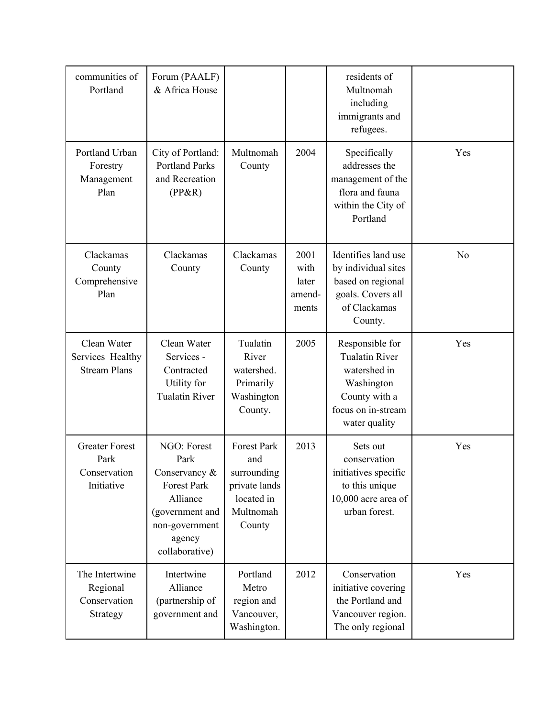| communities of<br>Portland                                  | Forum (PAALF)<br>& Africa House                                                                                                         |                                                                                                |                                          | residents of<br>Multnomah<br>including<br>immigrants and<br>refugees.                                                          |     |
|-------------------------------------------------------------|-----------------------------------------------------------------------------------------------------------------------------------------|------------------------------------------------------------------------------------------------|------------------------------------------|--------------------------------------------------------------------------------------------------------------------------------|-----|
| Portland Urban<br>Forestry<br>Management<br>Plan            | City of Portland:<br><b>Portland Parks</b><br>and Recreation<br>$(PP\&R)$                                                               | Multnomah<br>County                                                                            | 2004                                     | Specifically<br>addresses the<br>management of the<br>flora and fauna<br>within the City of<br>Portland                        | Yes |
| Clackamas<br>County<br>Comprehensive<br>Plan                | Clackamas<br>County                                                                                                                     | Clackamas<br>County                                                                            | 2001<br>with<br>later<br>amend-<br>ments | Identifies land use<br>by individual sites<br>based on regional<br>goals. Covers all<br>of Clackamas<br>County.                | No  |
| Clean Water<br>Services Healthy<br><b>Stream Plans</b>      | Clean Water<br>Services -<br>Contracted<br>Utility for<br><b>Tualatin River</b>                                                         | Tualatin<br>River<br>watershed.<br>Primarily<br>Washington<br>County.                          | 2005                                     | Responsible for<br><b>Tualatin River</b><br>watershed in<br>Washington<br>County with a<br>focus on in-stream<br>water quality | Yes |
| <b>Greater Forest</b><br>Park<br>Conservation<br>Initiative | NGO: Forest<br>Park<br>Conservancy &<br><b>Forest Park</b><br>Alliance<br>(government and<br>non-government<br>agency<br>collaborative) | <b>Forest Park</b><br>and<br>surrounding<br>private lands<br>located in<br>Multnomah<br>County | 2013                                     | Sets out<br>conservation<br>initiatives specific<br>to this unique<br>10,000 acre area of<br>urban forest.                     | Yes |
| The Intertwine<br>Regional<br>Conservation<br>Strategy      | Intertwine<br>Alliance<br>(partnership of<br>government and                                                                             | Portland<br>Metro<br>region and<br>Vancouver,<br>Washington.                                   | 2012                                     | Conservation<br>initiative covering<br>the Portland and<br>Vancouver region.<br>The only regional                              | Yes |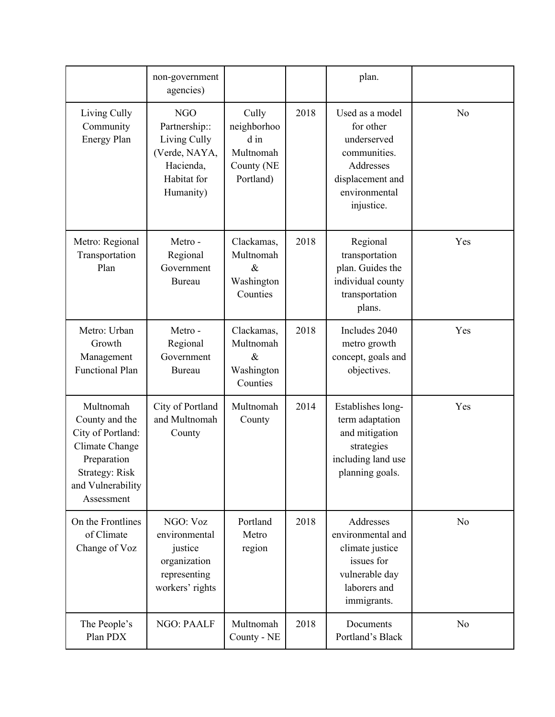|                                                                                                                                        | non-government<br>agencies)                                                                           |                                                                        |      | plan.                                                                                                                       |                |
|----------------------------------------------------------------------------------------------------------------------------------------|-------------------------------------------------------------------------------------------------------|------------------------------------------------------------------------|------|-----------------------------------------------------------------------------------------------------------------------------|----------------|
| Living Cully<br>Community<br><b>Energy Plan</b>                                                                                        | <b>NGO</b><br>Partnership::<br>Living Cully<br>(Verde, NAYA,<br>Hacienda,<br>Habitat for<br>Humanity) | Cully<br>neighborhoo<br>$d$ in<br>Multnomah<br>County (NE<br>Portland) | 2018 | Used as a model<br>for other<br>underserved<br>communities.<br>Addresses<br>displacement and<br>environmental<br>injustice. | No             |
| Metro: Regional<br>Transportation<br>Plan                                                                                              | Metro-<br>Regional<br>Government<br><b>Bureau</b>                                                     | Clackamas,<br>Multnomah<br>$\&$<br>Washington<br>Counties              | 2018 | Regional<br>transportation<br>plan. Guides the<br>individual county<br>transportation<br>plans.                             | Yes            |
| Metro: Urban<br>Growth<br>Management<br><b>Functional Plan</b>                                                                         | Metro-<br>Regional<br>Government<br>Bureau                                                            | Clackamas,<br>Multnomah<br>$\&$<br>Washington<br>Counties              | 2018 | Includes 2040<br>metro growth<br>concept, goals and<br>objectives.                                                          | Yes            |
| Multnomah<br>County and the<br>City of Portland:<br>Climate Change<br>Preparation<br>Strategy: Risk<br>and Vulnerability<br>Assessment | City of Portland<br>and Multnomah<br>County                                                           | Multnomah<br>County                                                    | 2014 | Establishes long-<br>term adaptation<br>and mitigation<br>strategies<br>including land use<br>planning goals.               | Yes            |
| On the Frontlines<br>of Climate<br>Change of Voz                                                                                       | NGO: Voz<br>environmental<br>justice<br>organization<br>representing<br>workers' rights               | Portland<br>Metro<br>region                                            | 2018 | Addresses<br>environmental and<br>climate justice<br>issues for<br>vulnerable day<br>laborers and<br>immigrants.            | N <sub>o</sub> |
| The People's<br>Plan PDX                                                                                                               | <b>NGO: PAALF</b>                                                                                     | Multnomah<br>County - NE                                               | 2018 | Documents<br>Portland's Black                                                                                               | No             |